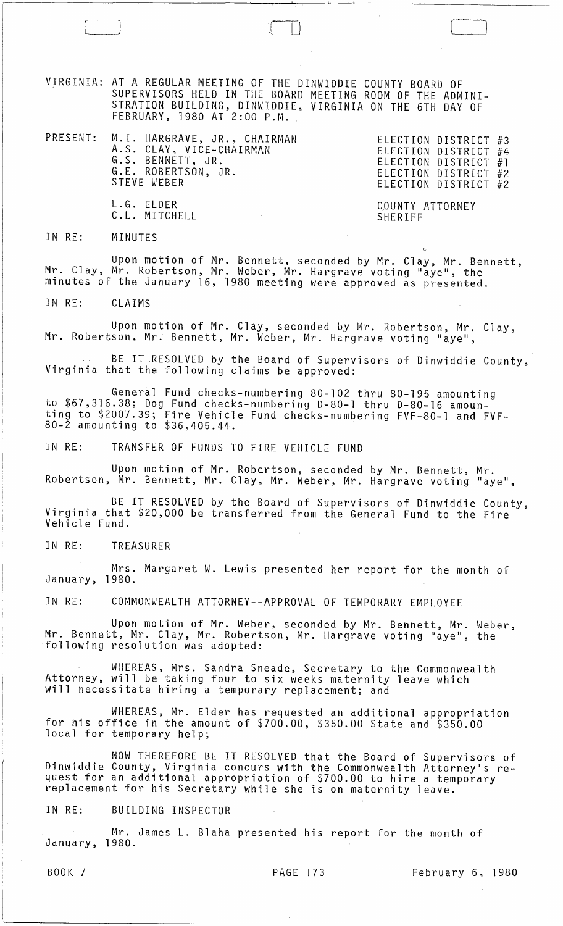VIRGINIA: AT A REGULAR MEETING OF THE DINWIDDIE COUNTY BOARD OF SUPERVISORS HELD IN THE BOARD MEETING ROOM OF THE ADMINI-STRATION BUILDING, DINWIDDIE, VIRGINIA ON THE 6TH DAY OF FEBRUARY, 1980 AT 2:00 P.M.

 $\begin{tabular}{|c|c|c|c|c|} \hline \quad \quad & \quad \quad & \quad \quad \\ \hline \quad \quad & \quad \quad & \quad \quad \\ \hline \quad \quad & \quad \quad & \quad \quad \\ \hline \quad \quad & \quad \quad & \quad \quad \\ \hline \quad \quad & \quad \quad & \quad \quad \\ \hline \quad \quad & \quad \quad & \quad \quad \\ \hline \quad \quad & \quad \quad & \quad \quad \\ \hline \quad \quad & \quad \quad & \quad \quad \\ \hline \quad \quad & \quad \quad & \quad \quad \\ \hline \quad \quad & \quad \quad & \quad \quad \\ \hline \quad \quad & \quad \quad & \quad \quad \\ \hline \$ 

| PRESENT: M.I. HARGRAVE, JR., CHAIRMAN<br>A.S. CLAY, VICE-CHAIRMAN<br>G.S. BENNETT, JR.<br>G.E. ROBERTSON, JR.<br>STEVE WEBER | ELECTION DISTRICT #3<br>ELECTION DISTRICT #4<br>ELECTION DISTRICT $#1$<br>ELECTION DISTRICT #2<br>ELECTION DISTRICT #2 |
|------------------------------------------------------------------------------------------------------------------------------|------------------------------------------------------------------------------------------------------------------------|
| L.G. ELDER<br>C.L. MITCHELL                                                                                                  | COUNTY ATTORNEY<br>SHERIFF                                                                                             |

IN RE: MINUTES

Upon motion of Mr. Bennett, seconded by Mr. Clay, Mr. Bennett, Mr. Clay, Mr. Robertson, Mr. Weber, Mr. Hargrave voting "aye", the minutes of the January 16, 1980 meeting were approved as presented.

IN RE: CLAIMS

Upon motion of Mr. Clay, seconded by Mr. Robertson, Mr. Clay,<br>Mr. Robertson, Mr. Bennett, Mr. Weber, Mr. Hargrave voting "aye",

BE IT RESOLVED by the Board of Supervisors of Dinwiddie County,<br>Virginia that the following claims be approved:

General Fund checks-numbering 80-102 thru 80-195 amounting to \$67,316.38; Dog Fund checks-numbering 0-80-1 thru 0-80-16 amounting to \$2007.39; Fire Vehicle Fund checks-numbering FVF-80-1 and FVF-80-2 amounting to \$36,405.44.

IN RE: TRANSFER OF FUNDS TO FIRE VEHICLE FUND

Upon motion of Mr. Robertson, seconded by Mr. Bennett, Mr. Robertson, Mr. Bennett, Mr. Clay, Mr. Weber, Mr. Hargrave voting "aye",

BE IT RESOLVED by the Board of Supervisors of Dinwiddie County, Virginia that \$20,000 be transferred from the General Fund to the Fire Vehicle Fund.

IN RE: TREASURER

Mrs. Margaret W. Lewis presented her report for the month of January, 1980.

IN RE: COMMONWEALTH ATTORNEY--APPROVAL OF TEMPORARY EMPLOYEE

Upon motion of Mr. Weber, seconded by Mr. Bennett, Mr. Weber, Mr. Bennett, Mr. Clay, Mr. Robertson, Mr. Hargrave voting "aye", the following resolution was adopted:

WHEREAS, Mrs. Sandra Sneade, Secretary to the Commonwealth Attorney, will be taking four to six weeks maternity leave which will necessitate hiring a temporary replacement; and

WHEREAS, Mr. Elder has requested an additional appropriation for his office in the amount of \$700.00, \$350.00 State and \$350.00 local for temporary help;

NOW THEREFORE BE IT RESOLVED that the Board of Supervisors of Dinwiddie County, Virginia concurs with the Commonwealth Attorney's request for an additional appropriation of \$700.00 to hire a temporary<br>replacement for his Secretary while she is on maternity leave.

IN RE: BUILDING INSPECTOR

Mr. James **L.** Blaha presented his report for the month of January, 1980.

BOOK 7 PAGE 173 February 6, 1980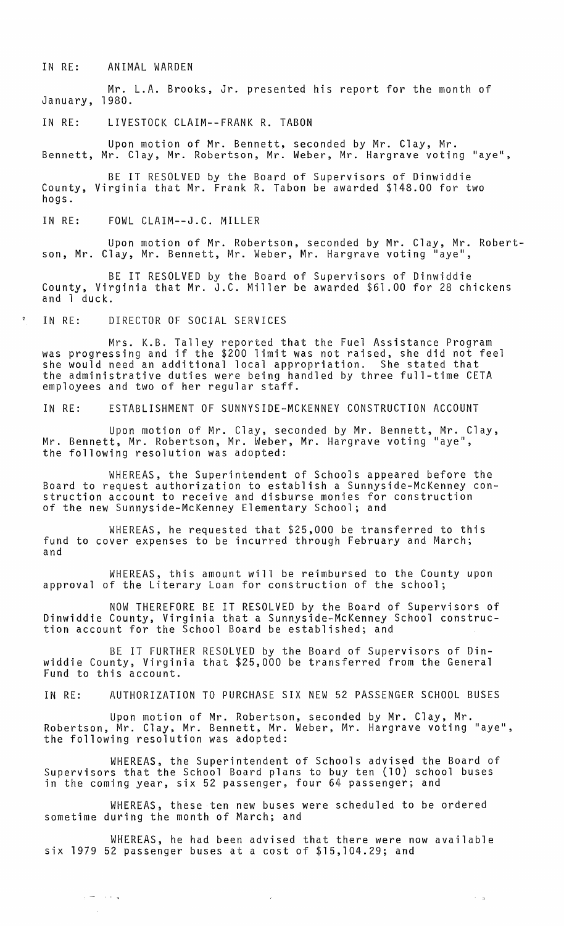IN RE: ANIMAL WARDEN

Mr. L.A. Brooks, Jr. presented his report for the month of January, 1980.

IN RE: LIVESTOCK CLAIM--FRANK R. TABON

Upon motion of Mr. Bennett, seconded by Mr. Clay, Mr. Bennett, Mr. Clay, Mr. Robertson, Mr. Weber, Mr. Hargrave voting "aye",

BE IT RESOLVED by the Board of Supervisors of Dinwiddie County, Virginia that Mr. Frank R. Tabon be awarded \$148.00 for two hogs.

IN RE: FOWL CLAIM--J.C. MILLER

Upon motion of Mr. Robertson, seconded by Mr. Clay, Mr. Robertson, Mr. Clay, Mr. Bennett, Mr. Weber, Mr. Hargrave voting "aye",

BE IT RESOLVED by the Board of Supervisors of Dinwiddie County, Virginia that Mr. J.C. Miller be awarded \$61.00 for 28 chickens and 1 duck.

IN RE: DIRECTOR OF SOCIAL SERVICES

 $\epsilon = 1.4 \pm 1.4$ 

Mrs. K.B. Talley reported that the Fuel Assistance Program was progressing and if the \$200 limit was not raised, she did not feel she would need an additional local appropriation. She stated that the administrative duties were being handled by three full-time CETA employees and two of her regular staff.

IN RE: ESTABLISHMENT OF SUNNYSIDE-MCKENNEY CONSTRUCTION ACCOUNT

Upon motion of Mr. Clay, seconded by Mr. Bennett, Mr. Clay, Mr. Bennett, Mr. Robertson, Mr. Weber, Mr. Hargrave voting "aye", the following resolution was adopted:

WHEREAS, the Superintendent of Schools appeared before the Board to request authorization to establish a Sunnyside-McKenney construction account to receive and disburse monies for construction of the new Sunnyside-McKenney Elementary School; and

WHEREAS, he requested that \$25,000 be transferred to this fund to cover expenses to be incurred through February and March; and

WHEREAS, this amount will be reimbursed to the County upon approval of the Literary Loan for construction of the school;

NOW THEREFORE BE IT RESOLVED by the Board of Supervisors of Dinwiddie County, Virginia that a Sunnyside-McKenney School construction account for the School Board be established; and

BE IT FURTHER RESOLVED by the Board of Supervisors of Dinwiddie County, Virginia that \$25,000 be transferred from the General Fund to this account.

IN RE: AUTHORIZATION TO PURCHASE SIX NEW 52 PASSENGER SCHOOL BUSES

Upon motion of Mr. Robertson, seconded by Mr. Clay, Mr. Robertson, Mr. Clay, Mr. Bennett, Mr. Weber, Mr. Hargrave voting "aye", the following resolution was adopted:

WHEREAS, the Superintendent of Schools *advised* the Board of Supervisors that the School Board plans to buy ten (10) school buses in the coming year, six 52 passenger, four 64 passenger; and

WHEREAS, these ten new buses were scheduled to be ordered sometime during the month of March; and

WHEREAS, he had been advised that there were now available six 1979 52 passenger buses at a cost of \$15,104.29; and

 $\sim$   $^{-1}$   $^{-1}$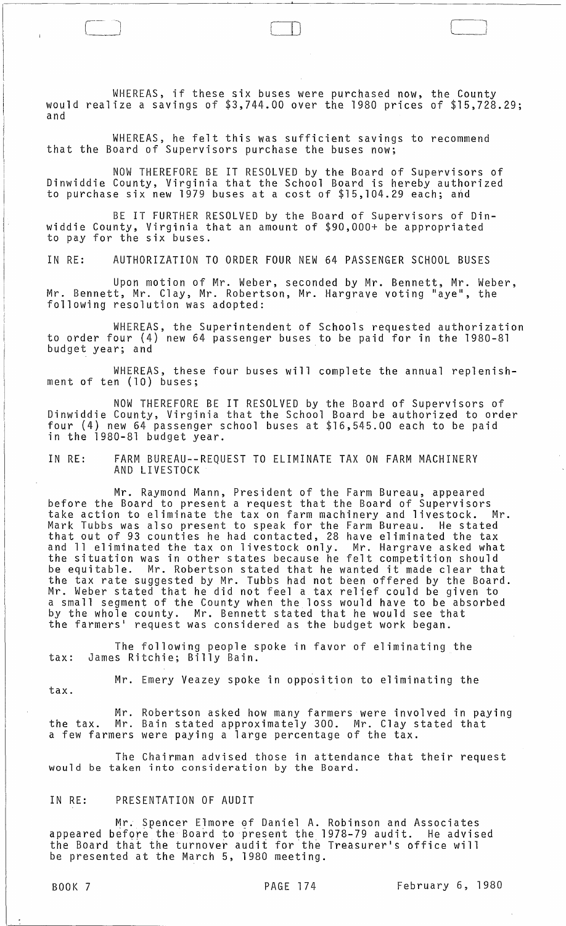WHEREAS, if these six buses were purchased now, the County would realize a savings of \$3,744.00 over the 1980 prices of \$15,728.29; and

WHEREAS, he felt this was sufficient savings to recommend that the Board of Supervisors purchase the buses now;

NOW THEREFORE BE IT RESOLVED by the Board of Supervisors of Dinwiddie County, Virginia that the School Board is hereby authorized to purchase six new 1979 buses at a cost of \$15,104.29 each; and

BE IT FURTHER RESOLVED by the Board of Supervisors of Dinwiddie County, Virginia that an amount of \$90,000+ be appropriated to pay for the six buses.

IN RE: AUTHORIZATION TO ORDER FOUR NEW 64 PASSENGER SCHOOL BUSES

Upon motion of Mr. Weber, seconded by Mr. Bennett, Mr. Weber, Mr. Bennett, Mr. Clay, Mr. Robertson, Mr. Hargrave voting "aye", the following resolution was adopted:

WHEREAS, the Superintendent of Schools requested authorization to order four (4) new 64 passenger buses to be paid for in the 1980-81 budget year; and

WHEREAS, these four buses will complete the annual replenishment of ten (10) buses;

NOW THEREFORE BE IT RESOLVED by the Board of Supervisors of Dinwiddie County, Virginia that the School Board be authorized to order four (4) new 64 passenger school buses at \$16,545.00 each to be paid in the 1980-81 budget year.

IN RE: FARM BUREAU--REQUEST TO ELIMINATE TAX ON FARM MACHINERY AND LIVESTOCK

Mr. Raymond Mann, President of the Farm Bureau, appeared before the Board to present a request that the Board of Supervisors<br>take action to eliminate the tax on farm machinery and livestock. Mr. take action to eliminate the tax on farm machinery and livestock. Mark Tubbs was also present to speak for the Farm Bureau. He stated that out of 93 counties he had contacted, 28 have eliminated the tax and 11 eliminated the tax on livestock only. Mr. Hargrave asked what the situation was in other states because he felt competition should<br>be equitable. Mr. Robertson stated that he wanted it made clear tha Mr. Robertson stated that he wanted it made clear that the tax rate suggested by Mr. Tubbs had not been offered by the Board. Mr. Weber stated that he did not feel a tax relief could be given to a small segment of the County when the loss would have to be absorbed by the whole county. Mr. Bennett stated that he would see that the farmers· request was considered as the budget work began.

The following people spoke in favor of eliminating the tax: James Ritchie; Billy Bain.

Mr. Emery Veazey spoke in opposition to eliminating the

tax.

Mr. Robertson asked how many farmers were involved in paying the tax. Mr. Bain stated approximately 300. Mr. Clay stated that a few farmers were paying a large percentage of the tax.

The Chairman advised those in attendance that their request would be taken into consideration by the Board.

# IN RE: PRESENTATION OF AUDIT

Mr. Spencer Elmore of Daniel A. Robinson and Associates appeared before the Board to present the 1978-79 audit. He advised the Board that the turnover audit for the Treasurer·s office will be presented at the March 5, 1980 meeting.

 $\Box$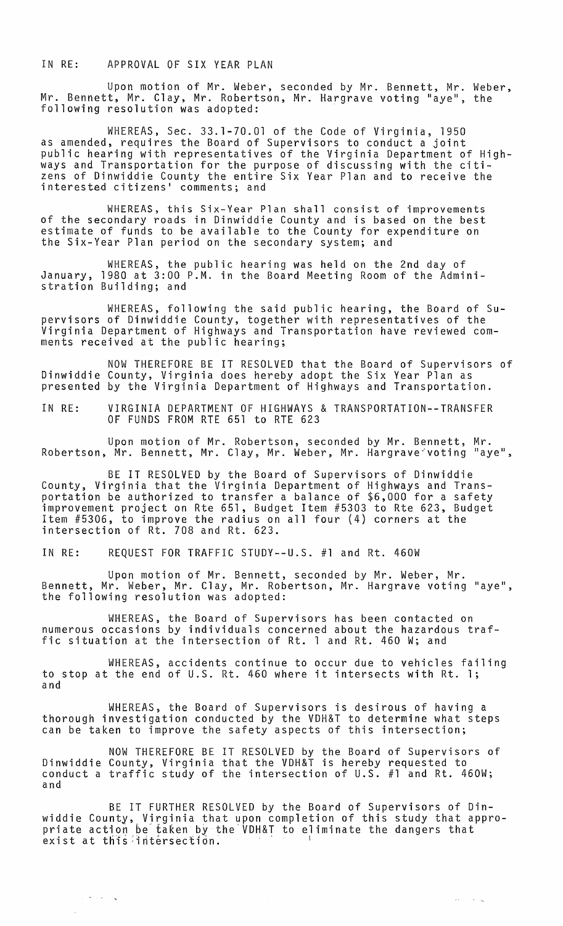#### IN RE: APPROVAL OF SIX YEAR PLAN

Upon motion of Mr. Weber, seconded by Mr. Bennett, Mr. Weber, Mr. Bennett, Mr. Clay, Mr. Robertson, Mr. Hargrave *voting* "aye", the following resolution was adopted:

WHEREAS, Sec. 33.1-70.01 of the Code of Virginia, 1950 as amended, requires the Board of Supervisors to conduct a joint public hearing with representatives of the Virginia Department of Highways and Transportation for the purpose of discussing with the citizens of Dinwiddie County the entire Six Year Plan and to receive the interested citizens' comments; and

WHEREAS, this Six-Year Plan shall consist of improvements of the secondary roads in Dinwiddie County and is based on the best estimate of funds to be available to the County for expenditure on the Six-Year Plan period on the secondary system; and

WHEREAS, the public hearing was held on the 2nd day of January, 1980 at 3:00 P.M. in the Board Meeting Room of the Administration Building; and

WHEREAS, following the said public hearing, the Board of Supervisors of Dinwiddie County, together with representatives of the Virginia Department of Highways and Transportation have reviewed comments received at the public hearing;

NOW THEREFORE BE IT RESOLVED that the Board of Supervisors of Dinwiddie County, Virginia does hereby adopt the Six Year Plan as presented by the Virginia Department of Highways and Transportation.

IN RE: VIRGINIA DEPARTMENT OF HIGHWAYS & TRANSPORTATION--TRANSFER OF FUNDS FROM RTE 651 to RTE 623

Upon motion of Mr. Robertson, seconded by Mr. Bennett, Mr. Robertson, Mr. Bennett, Mr. Clay, Mr. Weber, Mr. Hargrave-'voting "aye",

BE IT RESOLVED by the Board of Supervisors of Dinwiddie County, Virginia that the Virginia Department of Highways and Transportation be authorized to transfer a balance of \$6,000 for a safety improvement project on Rte 651, Budget Item #5303 to Rte 623, Budget Item #5306, to improve the radius on all four (4) corners at the intersection of Rt. 708 and Rt. 623.

IN RE: REQUEST FOR TRAFFIC STUDY--U.S. #1 and Rt. 460W

Upon motion of Mr. Bennett, seconded by Mr. Weber, Mr. Bennett, Mr. Weber, Mr. Clay, Mr. Robertson, Mr. Hargrave voting "aye", the following resolution was adopted:

WHEREAS, the Board of Supervisors has been contacted on numerous occasions by individuals concerned about the hazardous traffic situation at the intersection of Rt. 1 and Rt. 460 W; and

WHEREAS, accidents continue to occur due to vehicles failing to stop at the end of U.S. Rt. 460 where it intersects with Rt. 1; and

WHEREAS, the Board of Supervisors is desirous of having a thorough investigation conducted by the VDH&T to determine what steps can be taken to improve the safety aspects of this intersection;

NOW THEREFORE BE IT RESOLVED by the Board of Supervisors of Dinwiddie County, Virginia that the VDH&T is hereby requested to conduct a traffic study of the intersection of U.S. #1 and Rt. 460W; and

BE IT FURTHER RESOLVED by the Board of Supervisors of Dinwiddie County, Virginia that upon completion of this study that appropriate action be taken by the VDH&T to eliminate the dangers that exist at this intersection.

 $\mathcal{L}_{\text{max}}$  , where  $\mathcal{L}_{\text{max}}$ 

 $\tau_{\rm c} = \tau_{\rm c} + \tau_{\rm c}$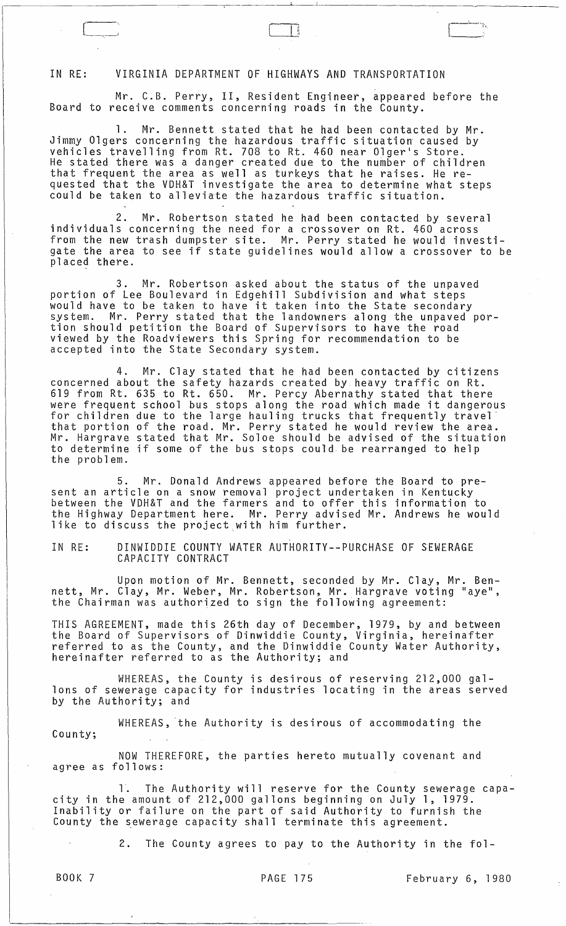### IN RE: VIRGINIA DEPARTMENT OF HIGHWAYS AND TRANSPORTATION

c\_:

Mr. C.B. Perry, II, Resident Engineer, appeared before the Board to receive comments concerning roads in the County.

1. Mr. Bennett stated that he had been contacted by Mr. Jimmy Olgers concerning the hazardous traffic situation caused by vehicles travelling from Rt. 708 to Rt. 460 near Olger's Store. He stated there was a danger created due to the number of children that frequent the area as well as turkeys that he raises. He requested that the VDH&T investigate the area to determine what steps could be taken to alleviate the hazardous traffic situation.

2. Mr. Robertson stated he had been contacted by several individuals concerning the need for a crossover on Rt. 460 across from the new trash dumpster site. Mr. Perry stated he would investigate the area to see if state guidelines would allow a crossover to be placed there.

3. Mr. Robertson asked about the status of the unpaved portion of Lee Boulevard in Edgehill Subdivision and what steps would have to be taken to have it taken into the State secondary system. Mr. Perry stated that the landowners along the unpaved portion should petition the Board of Supervisors to have the road viewed by the Roadviewers this Spring for recommendation to be accepted into the State Secondary system.

4. Mr. Clay stated that he had been contacted by citizens concerned about the safety hazards created by. heavy traffic on Rt. 619 from Rt. 635 to Rt. 650. Mr. Percy Abernathy stated that there were frequent school bus stops along the road which made it dangerous for children due to the large hauling trucks that frequently travel that portion of the road. Mr. Perry stated he would review the area. Mr. Hargrave stated that Mr. Soloe should be advised of the situation to determine if some of the bus stops could be rearranged to help the problem.

5. Mr. Donald Andrews appeared before the Board to present an article on a snow removal project undertaken in Kentucky between the VDH&T and the farmers and to offer this information to the Highway Department here. Mr. Perry advised Mr. Andrews he would like to discuss the project,with him further.

IN RE: DINWIDDIE COUNTY WATER AUTHORITY--PURCHASE OF SEWERAGE CAPACITY CONTRACT

Upon motion of Mr. Bennett, seconded by Mr. Clay, Mr. Bennett, Mr. Clay, Mr. Weber, Mr. Robertson, Mr. Hargrave voting "aye", the Chairman was authorized to sign the following agreement:

THIS AGREEMENT, made this 26th day of December, 1979, by and between the Board of Supervisors of Dinwiddie County, Virginia, hereinafter referred to as the County, and the Dinwiddie County Water Authority, hereinafter referred to as the Authority; and

WHEREAS, the County is desirous of reserving 212,000 gallons of sewerage capacity for industries locating in the areas served by the Authority; and

WHEREAS, 'the Authority is desirous of accommodating the County;

NOW THEREFORE, the parties hereto mutually covenant and agree as follows:

1. The Authority will reserve for the County sewerage capacity in the amount of 212,000 gallons beginning on July 1, 1979. Inability or failure on the part of said Authority to furnish the County the sewerage capacity shall terminate this agreement.

2. The County agrees to pay to the Authority in the fol-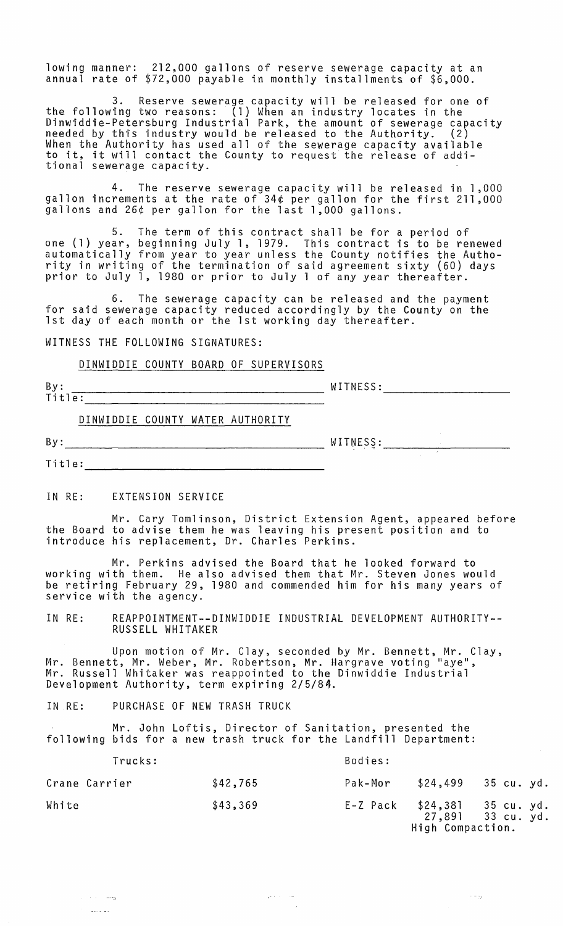lowing manner: 212,000 gallons of reserve sewerage capacity at an annual rate of \$72,000 payable in monthly installments of \$6,000.

3. Reserve sewerage capacity will be released for one of the following two reasons: (1) When an industry locates in the Dinwiddie-Petersburg Industrial Park, the amount of sewerage capacity<br>needed by this industry would be released to the Authority. (2) When the Authority has used all of the sewerage capacity available when the Authority has used all of the sewerage capacity available.<br>to it, it will contact the County to request the release of additional sewerage capacity.

4. The reserve sewerage capacity will be released in 1,000 gallon increments at the rate of 34¢ per gallon for the first 211,000 gallons and 26¢ per gallon for the last 1,000 gallons.

5. The term of this contract shall be for a period of one (1) year, beginning July 1, 1979. This contract is to be renewed automatically from year to year unless the County notifies the Authority in writing of the termination of said agreement sixty (60) days prior to July 1, 1980 or prior to July 1 of any year thereafter.

6. The sewerage capacity can be released and the payment for said sewerage capacity reduced accordingly by the County on the 1st day of each month or the 1st working day thereafter.

WITNESS THE FOLLOWING SIGNATURES:

### DINWIDDIE COUNTY BOARD OF SUPERVISORS

By: WITNESS: WITNESS: WITNESS: WITNESS: WITNESS: WITNESS: WITNESS: WITNESS: WITNESS: WITNESS: WITNESS: WITHOUT

DINWIDDIE COUNTY WATER AUTHORITY

 $By:$   $WITWESS:$ 

 $\sim 10^{11}$ 

Title: **with** 

a sa me المستحدث أأداد

IN RE: EXTENSION SERVICE

Mr. Cary Tomlinson, District Extension Agent, appeared before the Board to advise them he was leaving his present position and to introduce his replacement, Dr. Charles Perkins.

Mr. Perkins advised the Board that he looked forward to working with them. He also advised them that Mr. Steven Jones would be retiring February 29, 1980 and commended him for his many years of service with the agency.

IN RE: REAPPOINTMENT--DINWIDDIE INDUSTRIAL DEVELOPMENT AUTHORITY-- RUSSELL WHITAKER

Upon motion of Mr. Clay, seconded by Mr. Bennett, Mr. Clay, Mr. Bennett, Mr. Weber, Mr. Robertson, Mr. Hargrave voting "aye", Mr. Russell Whitaker was reappointed to the Dinwiddie Industrial Development Authority, term expiring 2/5/84.

IN RE: PURCHASE OF NEW TRASH TRUCK

Mr. John Loftis, Director of Sanitation, presented the following bids for a new trash truck for the Landfill Department:

| Trucks:       |          | Bodies:  |                  |                                           |
|---------------|----------|----------|------------------|-------------------------------------------|
| Crane Carrier | \$42,765 | Pak-Mor  | \$24,499         | 35 cu. yd.                                |
| White         | \$43,369 | E-Z Pack | High Compaction. | $$24,381$ 35 cu. yd.<br>27,891 33 cu. yd. |

مندار المتعلق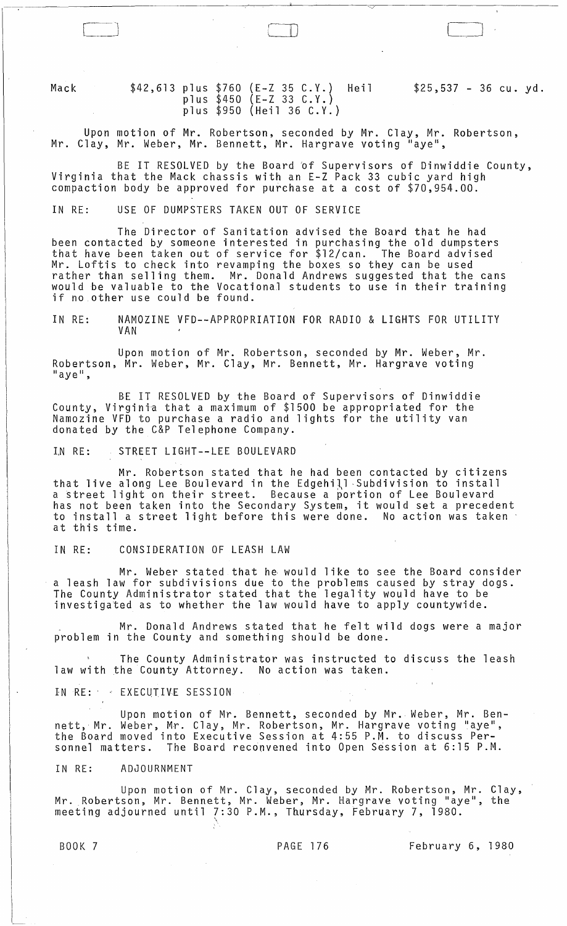Mack

[--]

# \$42,613 plus \$760 (E-Z 35 C.Y.) Heil plus \$450 (E-Z 33 C.Y.) plus \$950 (Heil 36 C.Y.)

\$25,537 - 36 cu. yd.

Upon motion of Mr. Robertson, seconded by Mr. Clay, Mr. Robertson, Mr. Clay, Mr. Weber, Mr. Bennett, Mr. Hargrave voting "aye",

 $\Box$ 

BE IT RESOLVED by the Board 'of Supervisors of Dinwiddie County, Virginia that the Mack chassis with an E-Z Pack 33 cubic yard high compaction body be approved for purchase at a cost of \$70,954.00.

IN RE: USE OF DUMPSTERS TAKEN OUT OF SERVICE

The Director of Sanitation advised the Board that he had been contacted by someone interested in purchasing the old dumpsters that have been taken out of service for \$12/can. The Board advised Mr. Loftis to check into revamping the boxes so they can be used rather than selling them. Mr. Donald Andrews suggested that the cans would be valuable to the Vocational students to use in their training if no other use could be found.

IN RE: NAMOZINE VFD--APPROPRIATION FOR RADIO & LIGHTS FOR UTILITY VAN

Upon motion of Mr. Robertson, seconded by Mr. Weber, Mr. Robertson, Mr. Weber, Mr. Clay, Mr. Bennett, Mr. Hargrave voting<br>"aye",

BE IT RESOLVED by the Board of Supervisors of Dinwiddie County, Virginia that a maximum of \$1500 be appropriated for the Namozine VFD to purchase a radio and lights for the utility van donated by the C&P Telephone Company.

I.N RE: STREET LIGHT--LEE BOULEVARD

Mr. Robertson stated that he had been contacted by citizens that live along Lee Boulevard in the Edgehill -Subdivision to install a street light on their street. Because a portion of Lee Boulevard has not been taken into the Secondary System, it would set a precedent to install a street light before this were done. No action was taken -<br>at this time.

IN RE: CONSIDERATION OF LEASH LAW

Mr. Weber stated that he would like to see the Board consider a leash law for subdivisions due to the problems caused by stray dogs. The County Administrator stated that the legality would have to be investigated as to whether the law would have to apply countywide.

Mr. Donald Andrews stated that he felt wild dogs were a major problem in the County and something should be done.

The County Administrator was instructed to discuss the leash law with the County Attorney. No action was taken.

IN RE: EXECUTIVE SESSION

Upon motion of Mr. Bennett, seconded by Mr. Weber, Mr. Bennett, Mr. Weber, Mr. Clay, Mr. Robertson, Mr. Hargrave voting "aye", the Board moved into Executive Session at 4:55 P.M. to discuss Personnel matters. The Board reconvened into Open Session at 6:15 P.M.

IN RE: ADJOURNMENT

Upon motion of Mr. Clay, seconded by Mr. Robertson, Mr. Clay, Mr. Robertson, Mr. Bennett, Mr. Weber, Mr. Hargrave voting "aye", the meeting adjourned until  $7:30$  P.M., Thursday, February 7, 1980.

1\_-

BOOK 7 **PAGE 176** February 6, 1980